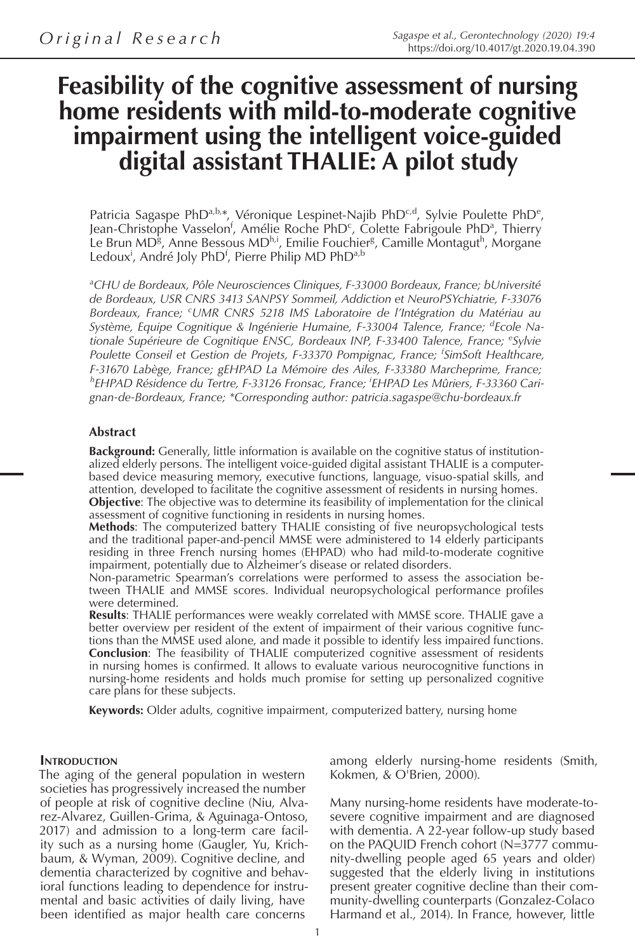# **Feasibility of the cognitive assessment of nursing home residents with mild-to-moderate cognitive impairment using the intelligent voice-guided digital assistant THALIE: A pilot study**

Patricia Sagaspe PhD<sup>a,b,\*</sup>, Véronique Lespinet-Najib PhD<sup>c,d</sup>, Sylvie Poulette PhD<sup>e</sup>, Jean-Christophe Vasselon<sup>f</sup>, Amélie Roche PhD<sup>c</sup>, Colette Fabrigoule PhD<sup>a</sup>, Thierry Le Brun MD<sup>g</sup>, Anne Bessous MD<sup>h,i</sup>, Emilie Fouchier<sup>g</sup>, Camille Montagut<sup>h</sup>, Morgane Ledoux<sup>i</sup>, André Joly PhD<sup>f</sup>, Pierre Philip MD PhD<sup>a,b</sup>

*a CHU de Bordeaux, Pôle Neurosciences Cliniques, F-33000 Bordeaux, France; bUniversité de Bordeaux, USR CNRS 3413 SANPSY Sommeil, Addiction et NeuroPSYchiatrie, F-33076 Bordeaux, France; <sup>c</sup> UMR CNRS 5218 IMS Laboratoire de l'Intégration du Matériau au Système, Equipe Cognitique & Ingénierie Humaine, F-33004 Talence, France; <sup>d</sup> Ecole Nationale Supérieure de Cognitique ENSC, Bordeaux INP, F-33400 Talence, France; <sup>e</sup> Sylvie Poulette Conseil et Gestion de Projets, F-33370 Pompignac, France; <sup>f</sup> SimSoft Healthcare, F-31670 Labège, France; gEHPAD La Mémoire des Ailes, F-33380 Marcheprime, France; h EHPAD Résidence du Tertre, F-33126 Fronsac, France; i EHPAD Les Mûriers, F-33360 Carignan-de-Bordeaux, France; \*Corresponding author: patricia.sagaspe@chu-bordeaux.fr*

#### **Abstract**

**Background:** Generally, little information is available on the cognitive status of institutionalized elderly persons. The intelligent voice-guided digital assistant THALIE is a computerbased device measuring memory, executive functions, language, visuo-spatial skills, and attention, developed to facilitate the cognitive assessment of residents in nursing homes. **Objective**: The objective was to determine its feasibility of implementation for the clinical assessment of cognitive functioning in residents in nursing homes.

**Methods**: The computerized battery THALIE consisting of five neuropsychological tests and the traditional paper-and-pencil MMSE were administered to 14 elderly participants residing in three French nursing homes (EHPAD) who had mild-to-moderate cognitive impairment, potentially due to Alzheimer's disease or related disorders.

Non-parametric Spearman's correlations were performed to assess the association between THALIE and MMSE scores. Individual neuropsychological performance profiles were determined.

**Results**: THALIE performances were weakly correlated with MMSE score. THALIE gave a better overview per resident of the extent of impairment of their various cognitive functions than the MMSE used alone, and made it possible to identify less impaired functions. **Conclusion**: The feasibility of THALIE computerized cognitive assessment of residents in nursing homes is confirmed. It allows to evaluate various neurocognitive functions in nursing-home residents and holds much promise for setting up personalized cognitive care plans for these subjects.

**Keywords:** Older adults, cognitive impairment, computerized battery, nursing home

#### **INTRODUCTION**

The aging of the general population in western societies has progressively increased the number of people at risk of cognitive decline (Niu, Alvarez-Alvarez, Guillen-Grima, & Aguinaga-Ontoso, 2017) and admission to a long-term care facility such as a nursing home (Gaugler, Yu, Krichbaum, & Wyman, 2009). Cognitive decline, and dementia characterized by cognitive and behavioral functions leading to dependence for instrumental and basic activities of daily living, have been identified as major health care concerns

among elderly nursing-home residents (Smith, Kokmen, & O'Brien, 2000).

Many nursing-home residents have moderate-tosevere cognitive impairment and are diagnosed with dementia. A 22-year follow-up study based on the PAQUID French cohort (N=3777 community-dwelling people aged 65 years and older) suggested that the elderly living in institutions present greater cognitive decline than their community-dwelling counterparts (Gonzalez-Colaco Harmand et al., 2014). In France, however, little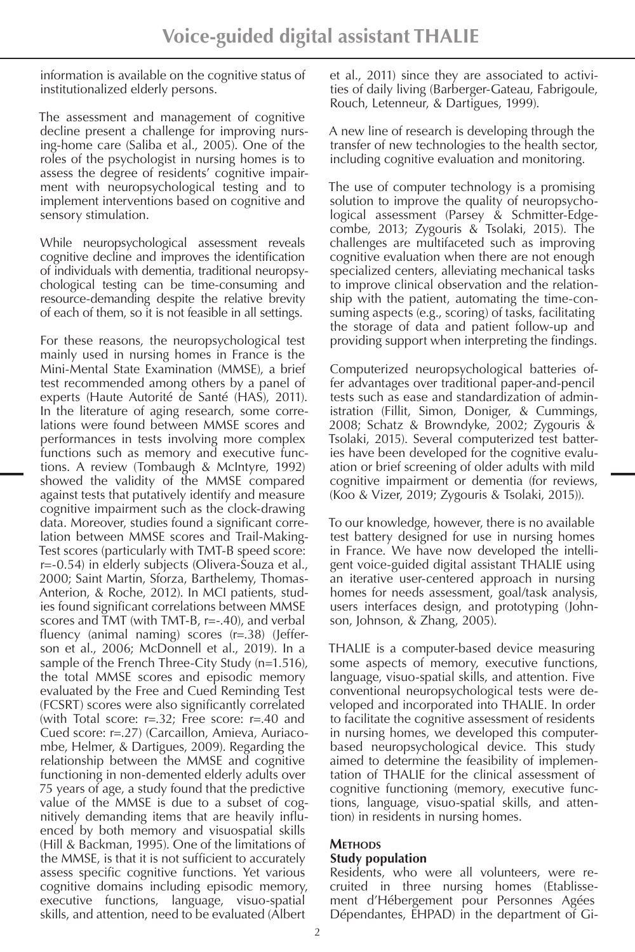information is available on the cognitive status of institutionalized elderly persons.

The assessment and management of cognitive decline present a challenge for improving nursing-home care (Saliba et al., 2005). One of the roles of the psychologist in nursing homes is to assess the degree of residents' cognitive impairment with neuropsychological testing and to implement interventions based on cognitive and sensory stimulation.

While neuropsychological assessment reveals cognitive decline and improves the identification of individuals with dementia, traditional neuropsychological testing can be time-consuming and resource-demanding despite the relative brevity of each of them, so it is not feasible in all settings.

For these reasons, the neuropsychological test mainly used in nursing homes in France is the Mini-Mental State Examination (MMSE), a brief test recommended among others by a panel of experts (Haute Autorité de Santé (HAS), 2011). In the literature of aging research, some correlations were found between MMSE scores and performances in tests involving more complex functions such as memory and executive functions. A review (Tombaugh & McIntyre, 1992) showed the validity of the MMSE compared against tests that putatively identify and measure cognitive impairment such as the clock-drawing data. Moreover, studies found a significant correlation between MMSE scores and Trail-Making-Test scores (particularly with TMT-B speed score: r=-0.54) in elderly subjects (Olivera-Souza et al., 2000; Saint Martin, Sforza, Barthelemy, Thomas-Anterion, & Roche, 2012). In MCI patients, studies found significant correlations between MMSE scores and  $\overline{T}MT$  (with  $TMT-B$ ,  $r=-.40$ ), and verbal fluency (animal naming) scores (r=.38) (Jefferson et al., 2006; McDonnell et al., 2019). In a sample of the French Three-City Study (n=1.516), the total MMSE scores and episodic memory evaluated by the Free and Cued Reminding Test (FCSRT) scores were also significantly correlated (with Total score: r=.32; Free score: r=.40 and Cued score: r=.27) (Carcaillon, Amieva, Auriacombe, Helmer, & Dartigues, 2009). Regarding the relationship between the MMSE and cognitive functioning in non-demented elderly adults over 75 years of age, a study found that the predictive value of the MMSE is due to a subset of cognitively demanding items that are heavily influenced by both memory and visuospatial skills (Hill & Backman, 1995). One of the limitations of the MMSE, is that it is not sufficient to accurately assess specific cognitive functions. Yet various cognitive domains including episodic memory, executive functions, language, visuo-spatial skills, and attention, need to be evaluated (Albert

et al., 2011) since they are associated to activities of daily living (Barberger-Gateau, Fabrigoule, Rouch, Letenneur, & Dartigues, 1999).

A new line of research is developing through the transfer of new technologies to the health sector, including cognitive evaluation and monitoring.

The use of computer technology is a promising solution to improve the quality of neuropsychological assessment (Parsey & Schmitter-Edgecombe, 2013; Zygouris & Tsolaki, 2015). The challenges are multifaceted such as improving cognitive evaluation when there are not enough specialized centers, alleviating mechanical tasks to improve clinical observation and the relationship with the patient, automating the time-consuming aspects (e.g., scoring) of tasks, facilitating the storage of data and patient follow-up and providing support when interpreting the findings.

Computerized neuropsychological batteries offer advantages over traditional paper-and-pencil tests such as ease and standardization of administration (Fillit, Simon, Doniger, & Cummings, 2008; Schatz & Browndyke, 2002; Zygouris & Tsolaki, 2015). Several computerized test batteries have been developed for the cognitive evaluation or brief screening of older adults with mild cognitive impairment or dementia (for reviews, (Koo & Vizer, 2019; Zygouris & Tsolaki, 2015)).

To our knowledge, however, there is no available test battery designed for use in nursing homes in France. We have now developed the intelligent voice-guided digital assistant THALIE using an iterative user-centered approach in nursing homes for needs assessment, goal/task analysis, users interfaces design, and prototyping (Johnson, Johnson, & Zhang, 2005).

THALIE is a computer-based device measuring some aspects of memory, executive functions, language, visuo-spatial skills, and attention. Five conventional neuropsychological tests were developed and incorporated into THALIE. In order to facilitate the cognitive assessment of residents in nursing homes, we developed this computerbased neuropsychological device. This study aimed to determine the feasibility of implementation of THALIE for the clinical assessment of cognitive functioning (memory, executive functions, language, visuo-spatial skills, and attention) in residents in nursing homes.

# **Methods**

# **Study population**

Residents, who were all volunteers, were recruited in three nursing homes (Etablissement d'Hébergement pour Personnes Agées Dépendantes, EHPAD) in the department of Gi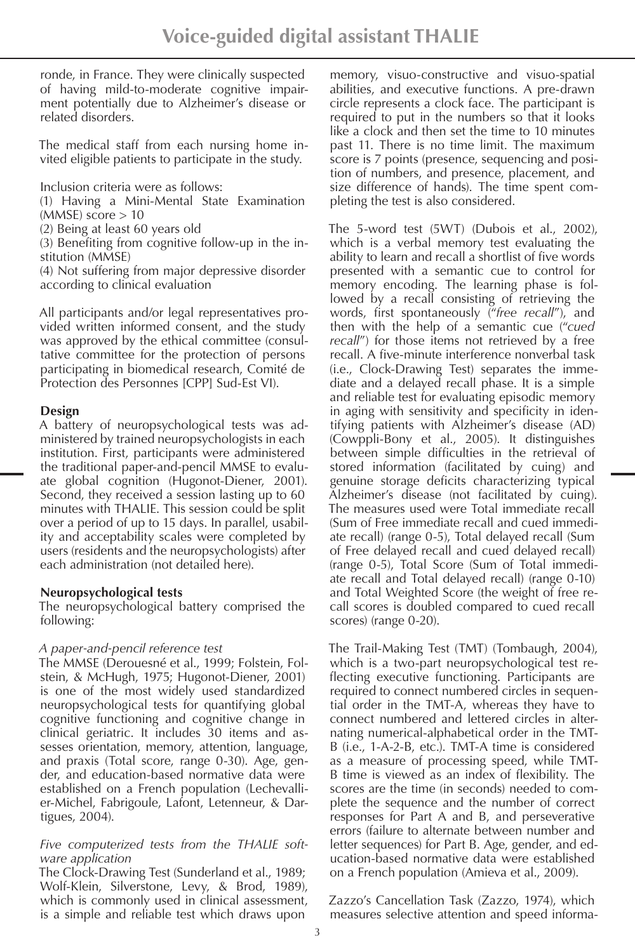ronde, in France. They were clinically suspected of having mild-to-moderate cognitive impairment potentially due to Alzheimer's disease or related disorders.

The medical staff from each nursing home invited eligible patients to participate in the study.

Inclusion criteria were as follows:

(1) Having a Mini-Mental State Examination  $(MMSE)$  score  $> 10$ 

(2) Being at least 60 years old

(3) Benefiting from cognitive follow-up in the institution (MMSE)

(4) Not suffering from major depressive disorder according to clinical evaluation

All participants and/or legal representatives provided written informed consent, and the study was approved by the ethical committee (consultative committee for the protection of persons participating in biomedical research, Comité de Protection des Personnes [CPP] Sud-Est VI).

## **Design**

A battery of neuropsychological tests was administered by trained neuropsychologists in each institution. First, participants were administered the traditional paper-and-pencil MMSE to evaluate global cognition (Hugonot-Diener, 2001). Second, they received a session lasting up to 60 minutes with THALIE. This session could be split over a period of up to 15 days. In parallel, usability and acceptability scales were completed by users (residents and the neuropsychologists) after each administration (not detailed here).

## **Neuropsychological tests**

The neuropsychological battery comprised the following:

## *A paper-and-pencil reference test*

The MMSE (Derouesné et al., 1999; Folstein, Folstein, & McHugh, 1975; Hugonot-Diener, 2001) is one of the most widely used standardized neuropsychological tests for quantifying global cognitive functioning and cognitive change in clinical geriatric. It includes 30 items and assesses orientation, memory, attention, language, and praxis (Total score, range 0-30). Age, gender, and education-based normative data were established on a French population (Lechevallier-Michel, Fabrigoule, Lafont, Letenneur, & Dartigues, 2004).

#### *Five computerized tests from the THALIE software application*

The Clock-Drawing Test (Sunderland et al., 1989; Wolf-Klein, Silverstone, Levy, & Brod, 1989), which is commonly used in clinical assessment, is a simple and reliable test which draws upon

memory, visuo-constructive and visuo-spatial abilities, and executive functions. A pre-drawn circle represents a clock face. The participant is required to put in the numbers so that it looks like a clock and then set the time to 10 minutes past 11. There is no time limit. The maximum score is 7 points (presence, sequencing and position of numbers, and presence, placement, and size difference of hands). The time spent completing the test is also considered.

The 5-word test (5WT) (Dubois et al., 2002), which is a verbal memory test evaluating the ability to learn and recall a shortlist of five words presented with a semantic cue to control for memory encoding. The learning phase is followed by a recall consisting of retrieving the words, first spontaneously ("*free recall*"), and then with the help of a semantic cue ("*cued recall*") for those items not retrieved by a free recall. A five-minute interference nonverbal task (i.e., Clock-Drawing Test) separates the immediate and a delayed recall phase. It is a simple and reliable test for evaluating episodic memory in aging with sensitivity and specificity in identifying patients with Alzheimer's disease (AD) (Cowppli-Bony et al., 2005). It distinguishes between simple difficulties in the retrieval of stored information (facilitated by cuing) and genuine storage deficits characterizing typical Alzheimer's disease (not facilitated by cuing). The measures used were Total immediate recall (Sum of Free immediate recall and cued immediate recall) (range 0-5), Total delayed recall (Sum of Free delayed recall and cued delayed recall) (range 0-5), Total Score (Sum of Total immediate recall and Total delayed recall) (range 0-10) and Total Weighted Score (the weight of free recall scores is doubled compared to cued recall scores) (range 0-20).

The Trail-Making Test (TMT) (Tombaugh, 2004), which is a two-part neuropsychological test reflecting executive functioning. Participants are required to connect numbered circles in sequential order in the TMT-A, whereas they have to connect numbered and lettered circles in alternating numerical-alphabetical order in the TMT-B (i.e., 1-A-2-B, etc.). TMT-A time is considered as a measure of processing speed, while TMT-B time is viewed as an index of flexibility. The scores are the time (in seconds) needed to complete the sequence and the number of correct responses for Part A and B, and perseverative errors (failure to alternate between number and letter sequences) for Part B. Age, gender, and education-based normative data were established on a French population (Amieva et al., 2009).

Zazzo's Cancellation Task (Zazzo, 1974), which measures selective attention and speed informa-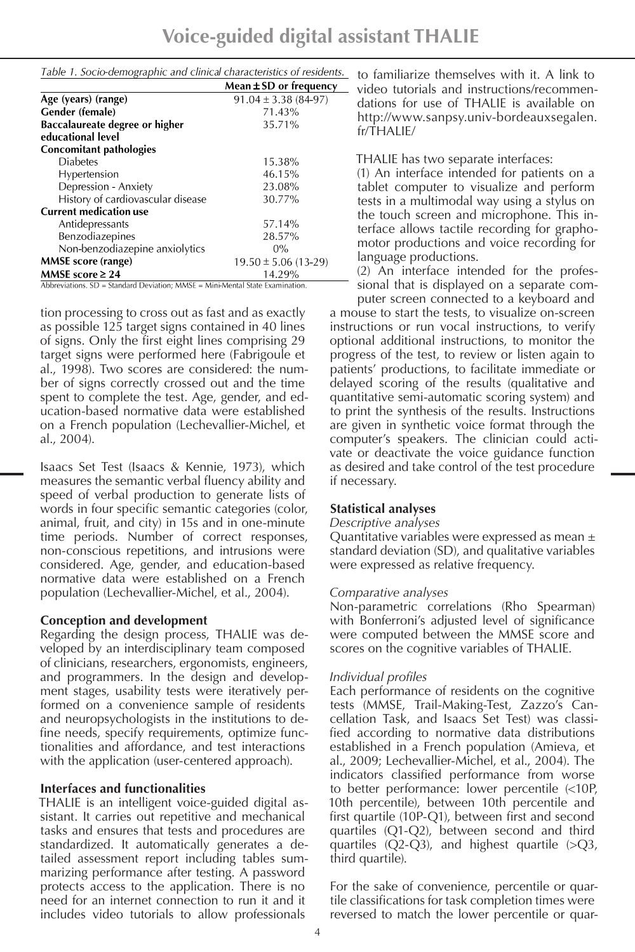| Table 1. Socio-demographic and clinical characteristics of residents.            |                            |
|----------------------------------------------------------------------------------|----------------------------|
|                                                                                  | Mean $\pm$ SD or frequency |
| Age (years) (range)                                                              | $91.04 \pm 3.38(84-97)$    |
| Gender (female)                                                                  | 71.43%                     |
| Baccalaureate degree or higher                                                   | 35.71%                     |
| educational level                                                                |                            |
| <b>Concomitant pathologies</b>                                                   |                            |
| <b>Diabetes</b>                                                                  | 15.38%                     |
| Hypertension                                                                     | 46.15%                     |
| Depression - Anxiety                                                             | 23.08%                     |
| History of cardiovascular disease                                                | 30.77%                     |
| <b>Current medication use</b>                                                    |                            |
| Antidepressants                                                                  | 57.14%                     |
| Benzodiazepines                                                                  | 28.57%                     |
| Non-benzodiazepine anxiolytics                                                   | $0\%$                      |
| <b>MMSE</b> score (range)                                                        | $19.50 \pm 5.06$ (13-29)   |
| MMSE score $\geq 24$                                                             | 14.29%                     |
| Abbreviations. $SD = Standard Deviation$ ; MMSE = Mini-Mental State Examination. |                            |

tion processing to cross out as fast and as exactly as possible 125 target signs contained in 40 lines of signs. Only the first eight lines comprising 29 target signs were performed here (Fabrigoule et al., 1998). Two scores are considered: the number of signs correctly crossed out and the time spent to complete the test. Age, gender, and education-based normative data were established on a French population (Lechevallier-Michel, et al., 2004).

Isaacs Set Test (Isaacs & Kennie, 1973), which measures the semantic verbal fluency ability and speed of verbal production to generate lists of words in four specific semantic categories (color, animal, fruit, and city) in 15s and in one-minute time periods. Number of correct responses, non-conscious repetitions, and intrusions were considered. Age, gender, and education-based normative data were established on a French population (Lechevallier-Michel, et al., 2004).

## **Conception and development**

Regarding the design process, THALIE was developed by an interdisciplinary team composed of clinicians, researchers, ergonomists, engineers, and programmers. In the design and development stages, usability tests were iteratively performed on a convenience sample of residents and neuropsychologists in the institutions to define needs, specify requirements, optimize functionalities and affordance, and test interactions with the application (user-centered approach).

## **Interfaces and functionalities**

THALIE is an intelligent voice-guided digital assistant. It carries out repetitive and mechanical tasks and ensures that tests and procedures are standardized. It automatically generates a detailed assessment report including tables summarizing performance after testing. A password protects access to the application. There is no need for an internet connection to run it and it includes video tutorials to allow professionals

to familiarize themselves with it. A link to video tutorials and instructions/recommendations for use of THALIE is available on http://www.sanpsy.univ-bordeauxsegalen. fr/THALIE/

THALIE has two separate interfaces:

(1) An interface intended for patients on a tablet computer to visualize and perform tests in a multimodal way using a stylus on the touch screen and microphone. This interface allows tactile recording for graphomotor productions and voice recording for language productions.

(2) An interface intended for the professional that is displayed on a separate com-

puter screen connected to a keyboard and a mouse to start the tests, to visualize on-screen instructions or run vocal instructions, to verify optional additional instructions, to monitor the progress of the test, to review or listen again to patients' productions, to facilitate immediate or delayed scoring of the results (qualitative and quantitative semi-automatic scoring system) and to print the synthesis of the results. Instructions are given in synthetic voice format through the computer's speakers. The clinician could activate or deactivate the voice guidance function as desired and take control of the test procedure if necessary.

# **Statistical analyses**

## *Descriptive analyses*

Quantitative variables were expressed as mean ± standard deviation (SD), and qualitative variables were expressed as relative frequency.

# *Comparative analyses*

Non-parametric correlations (Rho Spearman) with Bonferroni's adjusted level of significance were computed between the MMSE score and scores on the cognitive variables of THALIE.

# *Individual profiles*

Each performance of residents on the cognitive tests (MMSE, Trail-Making-Test, Zazzo's Cancellation Task, and Isaacs Set Test) was classified according to normative data distributions established in a French population (Amieva, et al., 2009; Lechevallier-Michel, et al., 2004). The indicators classified performance from worse to better performance: lower percentile (<10P, 10th percentile), between 10th percentile and first quartile (10P-Q1), between first and second quartiles (Q1-Q2), between second and third quartiles  $(Q2-Q3)$ , and highest quartile  $(>Q3)$ , third quartile).

For the sake of convenience, percentile or quartile classifications for task completion times were reversed to match the lower percentile or quar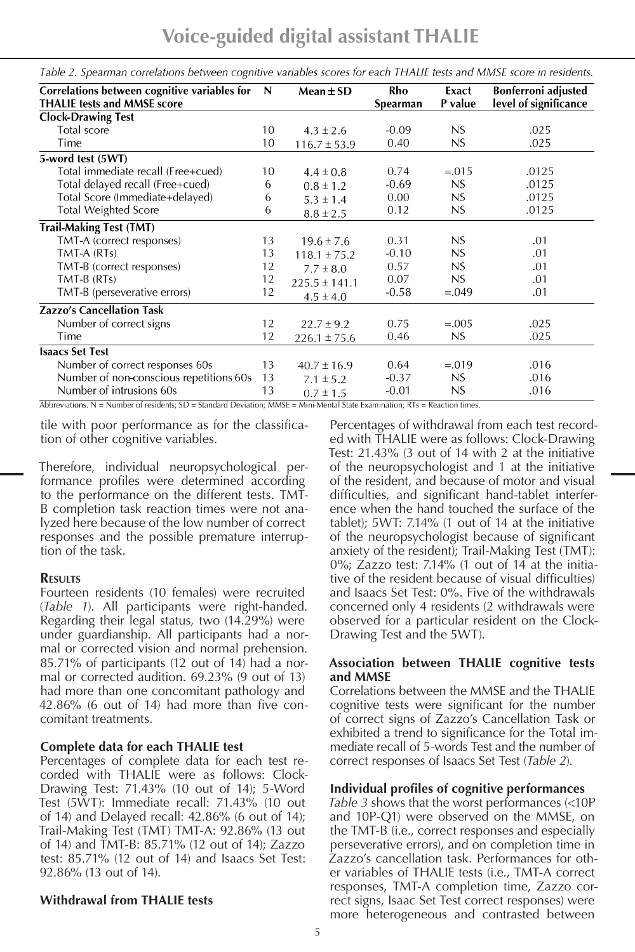**Voice-guided digital assistant THALIE**

| Correlations between cognitive variables for | N  | Mean $\pm$ SD     | Rho             | Exact       | Bonferroni adjusted   |
|----------------------------------------------|----|-------------------|-----------------|-------------|-----------------------|
| <b>THALIE tests and MMSE score</b>           |    |                   | <b>Spearman</b> | P value     | level of significance |
| <b>Clock-Drawing Test</b>                    |    |                   |                 |             |                       |
| Total score                                  | 10 | $4.3 \pm 2.6$     | $-0.09$         | NS          | .025                  |
| Time                                         | 10 | $116.7 \pm 53.9$  | 0.40            | $_{\rm NS}$ | .025                  |
| 5-word test (5WT)                            |    |                   |                 |             |                       |
| Total immediate recall (Free+cued)           | 10 | $4.4 \pm 0.8$     | 0.74            | $=.015$     | .0125                 |
| Total delayed recall (Free+cued)             | 6  | $0.8 \pm 1.2$     | $-0.69$         | NS          | .0125                 |
| Total Score (Immediate+delayed)              | 6  | $5.3 \pm 1.4$     | 0.00            | NS          | .0125                 |
| <b>Total Weighted Score</b>                  | 6  | $8.8 \pm 2.5$     | 0.12            | NS.         | .0125                 |
| <b>Trail-Making Test (TMT)</b>               |    |                   |                 |             |                       |
| TMT-A (correct responses)                    | 13 | $19.6 \pm 7.6$    | 0.31            | NS          | .01                   |
| TMT-A (RTs)                                  | 13 | $118.1 \pm 75.2$  | $-0.10$         | NS          | .01                   |
| TMT-B (correct responses)                    | 12 | $7.7 \pm 8.0$     | 0.57            | NS.         | .01                   |
| TMT-B (RTs)                                  | 12 | $225.5 \pm 141.1$ | 0.07            | NS          | .01                   |
| TMT-B (perseverative errors)                 | 12 | $4.5 \pm 4.0$     | $-0.58$         | $=.049$     | .01                   |
| <b>Zazzo's Cancellation Task</b>             |    |                   |                 |             |                       |
| Number of correct signs                      | 12 | $22.7 \pm 9.2$    | 0.75            | $=.005$     | .025                  |
| Time                                         | 12 | $226.1 \pm 75.6$  | 0.46            | NS          | .025                  |
| <b>Isaacs Set Test</b>                       |    |                   |                 |             |                       |
| Number of correct responses 60s              | 13 | $40.7 \pm 16.9$   | 0.64            | $=.019$     | .016                  |
| Number of non-conscious repetitions 60s      | 13 | $7.1 \pm 5.2$     | $-0.37$         | NS          | .016                  |
| Number of intrusions 60s                     | 13 | $0.7 \pm 1.5$     | $-0.01$         | NS          | .016                  |

Table 2. Spearman correlations between cognitive variables scores for each THALIE tests and MMSE score in residents.

Abbreviations.  $N =$  Number of residents;  $SD =$  Standard Deviation; MMSE = Mini-Mental State Examination;  $RTs =$  Reaction times.

tile with poor performance as for the classification of other cognitive variables.

Therefore, individual neuropsychological performance profiles were determined according to the performance on the different tests. TMT-B completion task reaction times were not analyzed here because of the low number of correct responses and the possible premature interruption of the task.

#### **Results**

Fourteen residents (10 females) were recruited (*Table 1*). All participants were right-handed. Regarding their legal status, two (14.29%) were under guardianship. All participants had a normal or corrected vision and normal prehension. 85.71% of participants (12 out of 14) had a normal or corrected audition. 69.23% (9 out of 13) had more than one concomitant pathology and 42.86% (6 out of 14) had more than five concomitant treatments.

## **Complete data for each THALIE test**

Percentages of complete data for each test recorded with THALIE were as follows: Clock-Drawing Test: 71.43% (10 out of 14); 5-Word Test (5WT): Immediate recall: 71.43% (10 out of 14) and Delayed recall: 42.86% (6 out of 14); Trail-Making Test (TMT) TMT-A: 92.86% (13 out of 14) and TMT-B: 85.71% (12 out of 14); Zazzo test: 85.71% (12 out of 14) and Isaacs Set Test: 92.86% (13 out of 14).

## **Withdrawal from THALIE tests**

Percentages of withdrawal from each test recorded with THALIE were as follows: Clock-Drawing Test: 21.43% (3 out of 14 with 2 at the initiative of the neuropsychologist and 1 at the initiative of the resident, and because of motor and visual difficulties, and significant hand-tablet interference when the hand touched the surface of the tablet); 5WT: 7.14% (1 out of 14 at the initiative of the neuropsychologist because of significant anxiety of the resident); Trail-Making Test (TMT): 0%; Zazzo test: 7.14% (1 out of 14 at the initiative of the resident because of visual difficulties) and Isaacs Set Test: 0%. Five of the withdrawals concerned only 4 residents (2 withdrawals were observed for a particular resident on the Clock-Drawing Test and the 5WT).

## **Association between THALIE cognitive tests and MMSE**

Correlations between the MMSE and the THALIE cognitive tests were significant for the number of correct signs of Zazzo's Cancellation Task or exhibited a trend to significance for the Total immediate recall of 5-words Test and the number of correct responses of Isaacs Set Test (*Table 2*).

## **Individual profiles of cognitive performances**

*Table 3* shows that the worst performances (<10P and 10P-Q1) were observed on the MMSE, on the TMT-B (i.e., correct responses and especially perseverative errors), and on completion time in Zazzo's cancellation task. Performances for other variables of THALIE tests (i.e., TMT-A correct responses, TMT-A completion time, Zazzo correct signs, Isaac Set Test correct responses) were more heterogeneous and contrasted between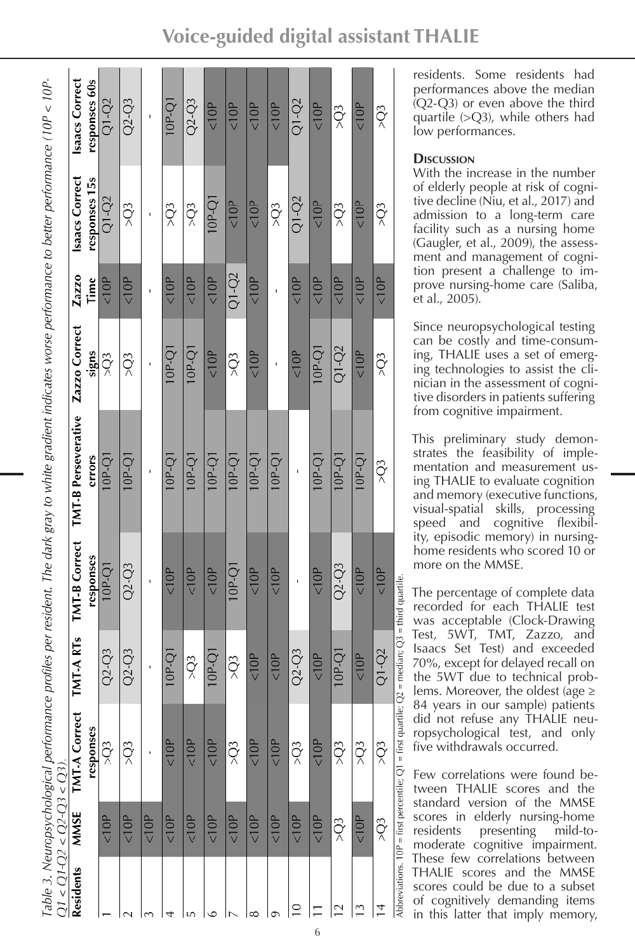|                          | $21 < 01 - 02 < 02 - 03 < 03$ |                                                                    |                                   |                      | Table 3. Neuropsychological performance profiles per resident. The dark gray to white gradient indicates worse performance to better performance (10P < 10P- |                 |           |                 |                 |
|--------------------------|-------------------------------|--------------------------------------------------------------------|-----------------------------------|----------------------|--------------------------------------------------------------------------------------------------------------------------------------------------------------|-----------------|-----------|-----------------|-----------------|
| <b>Residents</b>         | MMSE                          | <b>TMT-A Correct</b>                                               | <b>IMT-ARTS</b>                   | <b>TMT-B Correct</b> | <b>TMT-B Perseverative</b>                                                                                                                                   | Zazzo Correct   | Zazzo     | Isaacs Correct  | Isaacs Correct  |
|                          |                               | responses                                                          |                                   | responses            | errors                                                                                                                                                       | signs           | Time      | responses 15s   | responses 60s   |
|                          | 10P                           | $\widetilde{Q}$                                                    | $Q2-Q3$                           | 10P-Q1               | $10P-Q1$                                                                                                                                                     | $\widetilde{Q}$ | 10P       | $Q1-Q2$         | $Q1-Q2$         |
|                          | < 10P                         | $> 23$                                                             | $Q2 - Q3$                         | $Q2 - Q3$            | 10P-Q1                                                                                                                                                       | $\widetilde{Q}$ | 10P       | 50 <sup>2</sup> | $Q2-Q3$         |
|                          | 10P                           |                                                                    |                                   |                      |                                                                                                                                                              |                 |           |                 |                 |
|                          | 10P                           | < 10P                                                              | 10P-Q1                            | 10P                  | $IQ-P-Q$                                                                                                                                                     | 10P-Q1          | 10P       | $\widetilde{Q}$ | 10P-Q1          |
|                          | < 10P                         | 10P                                                                | $\widetilde{Q}$                   | 10P                  | $10P-Q1$                                                                                                                                                     | 10P-Q1          | 10P       | 50 <sub>2</sub> | $Q2 - Q3$       |
| ٥                        | 10P                           | 10P                                                                | $10P-Q1$                          | 10P                  | 10P-Q1                                                                                                                                                       | 10P             | 10P       | $10P-Q1$        | 10P             |
|                          | 10P                           | $\frac{1}{2}$                                                      | 50 <sub>2</sub>                   | $10P-Q1$             | $10P-Q1$                                                                                                                                                     | 50 <sup>2</sup> | $Q1 - Q2$ | < 10P           | 10P             |
| ∞                        | < 10P                         | 10P                                                                | <10P                              | 10P                  | $10P-Q1$                                                                                                                                                     | 10P             | 10P       | 10P             | 10P             |
|                          | 10P                           | 10P                                                                | 10P                               | 10P                  | $10P-Q1$                                                                                                                                                     |                 |           | 50 <sub>2</sub> | 10P             |
| $\subseteq$              | 10P                           | $\widetilde{Q}$                                                    | $Q2 - Q3$                         |                      |                                                                                                                                                              | 10P             | 10P       | $Q1-Q2$         | $Q1-Q2$         |
|                          | 10P                           | 10P                                                                | 10P                               | 10P                  | 10P-Q1                                                                                                                                                       | $10P-Q1$        | 10P       | 10P             | 10P             |
| $\overline{\phantom{0}}$ | $\widetilde{Q}$               | $\widetilde{Q}$                                                    | 10P-Q1                            | $Q2 - Q3$            | $10P-Q1$                                                                                                                                                     | $Q1-Q2$         | 10P       | $\widetilde{Q}$ | $\widetilde{Q}$ |
| $\tilde{\mathbb{C}}$     | 10P                           | 50 <sup>2</sup>                                                    | 10P                               | 10P                  | $10P-Q1$                                                                                                                                                     | 10P             | 10P       | 10P             | 10P             |
| $\overline{1}$           | $\widetilde{Q}$               | $\widetilde{Q}$                                                    | $Q1-Q2$                           | 10P                  | $\widetilde{Q}$                                                                                                                                              | $\widetilde{Q}$ | 10P       | $\widetilde{Q}$ | $\widetilde{Q}$ |
|                          |                               | Abbreviations $10P =$ first percentile: $Q1 =$ first quartile: $Q$ | $=$ median: $O3 =$ third quartile |                      |                                                                                                                                                              |                 |           |                 |                 |

residents. Some residents had performances above the median (Q2-Q3) or even above the third quartile  $(>Q3)$ , while others had low performances.

# **Discussion**

With the increase in the number of elderly people at risk of cogni tive decline (Niu, et al., 2017) and admission to a long-term care facility such as a nursing home (Gaugler, et al., 2009), the assess ment and management of cogni tion present a challenge to im prove nursing-home care (Saliba, et al., 2005).

Since neuropsychological testing can be costly and time-consum ing, THALIE uses a set of emerg ing technologies to assist the cli nician in the assessment of cogni tive disorders in patients suffering from cognitive impairment.

This preliminary study demon strates the feasibility of imple mentation and measurement us ing THALIE to evaluate cognition and memory (executive functions, visual-spatial skills, processing speed and cognitive flexibil ity, episodic memory) in nursinghome residents who scored 10 or more on the MMSE.

The percentage of complete data recorded for each THALIE test was acceptable (Clock-Drawing Test, 5WT, TMT, Zazzo, and Isaacs Set Test) and exceeded 70%, except for delayed recall on the 5WT due to technical prob lems. Moreover, the oldest (age  $\geq$ 84 years in our sample) patients did not refuse any THALIE neu ropsychological test, and only five withdrawals occurred.

Few correlations were found be tween THALIE scores and the standard version of the MMSE scores in elderly nursing-home residents presenting mild-tomoderate cognitive impairment. These few correlations between THALIE scores and the MMSE scores could be due to a subset of cognitively demanding items in this latter that imply memory,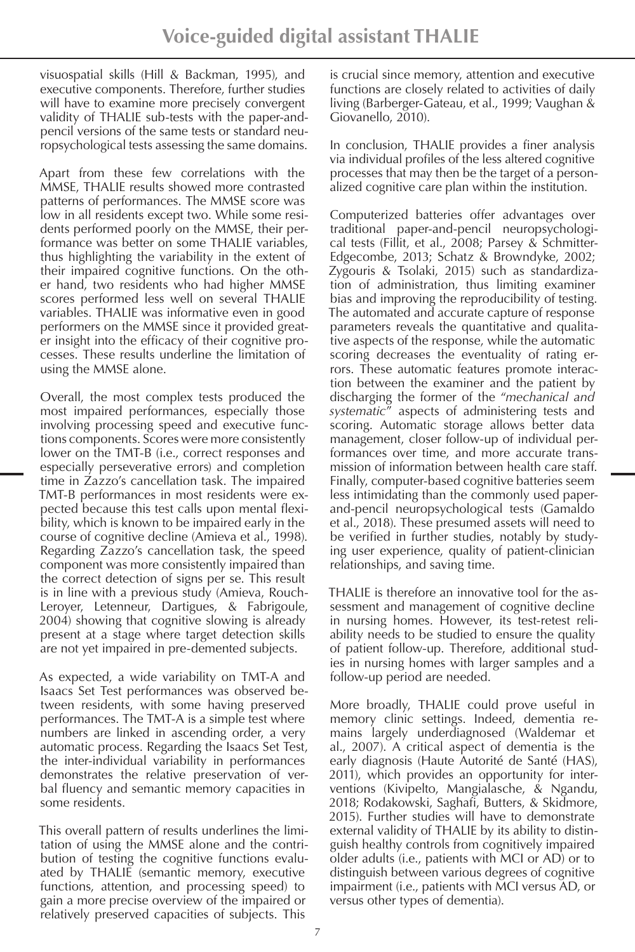visuospatial skills (Hill & Backman, 1995), and executive components. Therefore, further studies will have to examine more precisely convergent validity of THALIE sub-tests with the paper-andpencil versions of the same tests or standard neuropsychological tests assessing the same domains.

Apart from these few correlations with the MMSE, THALIE results showed more contrasted patterns of performances. The MMSE score was low in all residents except two. While some residents performed poorly on the MMSE, their performance was better on some THALIE variables, thus highlighting the variability in the extent of their impaired cognitive functions. On the other hand, two residents who had higher MMSE scores performed less well on several THALIE variables. THALIE was informative even in good performers on the MMSE since it provided greater insight into the efficacy of their cognitive processes. These results underline the limitation of using the MMSE alone.

Overall, the most complex tests produced the most impaired performances, especially those involving processing speed and executive functions components. Scores were more consistently lower on the TMT-B (i.e., correct responses and especially perseverative errors) and completion time in Zazzo's cancellation task. The impaired TMT-B performances in most residents were expected because this test calls upon mental flexibility, which is known to be impaired early in the course of cognitive decline (Amieva et al., 1998). Regarding Zazzo's cancellation task, the speed component was more consistently impaired than the correct detection of signs per se. This result is in line with a previous study (Amieva, Rouch-Leroyer, Letenneur, Dartigues, & Fabrigoule, 2004) showing that cognitive slowing is already present at a stage where target detection skills are not yet impaired in pre-demented subjects.

As expected, a wide variability on TMT-A and Isaacs Set Test performances was observed between residents, with some having preserved performances. The TMT-A is a simple test where numbers are linked in ascending order, a very automatic process. Regarding the Isaacs Set Test, the inter-individual variability in performances demonstrates the relative preservation of verbal fluency and semantic memory capacities in some residents.

This overall pattern of results underlines the limitation of using the MMSE alone and the contribution of testing the cognitive functions evaluated by THALIE (semantic memory, executive functions, attention, and processing speed) to gain a more precise overview of the impaired or relatively preserved capacities of subjects. This

is crucial since memory, attention and executive functions are closely related to activities of daily living (Barberger-Gateau, et al., 1999; Vaughan & Giovanello, 2010).

In conclusion, THALIE provides a finer analysis via individual profiles of the less altered cognitive processes that may then be the target of a personalized cognitive care plan within the institution.

Computerized batteries offer advantages over traditional paper-and-pencil neuropsychological tests (Fillit, et al., 2008; Parsey & Schmitter-Edgecombe, 2013; Schatz & Browndyke, 2002; Zygouris & Tsolaki, 2015) such as standardization of administration, thus limiting examiner bias and improving the reproducibility of testing. The automated and accurate capture of response parameters reveals the quantitative and qualitative aspects of the response, while the automatic scoring decreases the eventuality of rating errors. These automatic features promote interaction between the examiner and the patient by discharging the former of the "*mechanical and systematic*" aspects of administering tests and scoring. Automatic storage allows better data management, closer follow-up of individual performances over time, and more accurate transmission of information between health care staff. Finally, computer-based cognitive batteries seem less intimidating than the commonly used paperand-pencil neuropsychological tests (Gamaldo et al., 2018). These presumed assets will need to be verified in further studies, notably by studying user experience, quality of patient-clinician relationships, and saving time.

THALIE is therefore an innovative tool for the assessment and management of cognitive decline in nursing homes. However, its test-retest reliability needs to be studied to ensure the quality of patient follow-up. Therefore, additional studies in nursing homes with larger samples and a follow-up period are needed.

More broadly, THALIE could prove useful in memory clinic settings. Indeed, dementia remains largely underdiagnosed (Waldemar et al., 2007). A critical aspect of dementia is the early diagnosis (Haute Autorité de Santé (HAS), 2011), which provides an opportunity for interventions (Kivipelto, Mangialasche, & Ngandu, 2018; Rodakowski, Saghafi, Butters, & Skidmore, 2015). Further studies will have to demonstrate external validity of THALIE by its ability to distinguish healthy controls from cognitively impaired older adults (i.e., patients with MCI or AD) or to distinguish between various degrees of cognitive impairment (i.e., patients with MCI versus AD, or versus other types of dementia).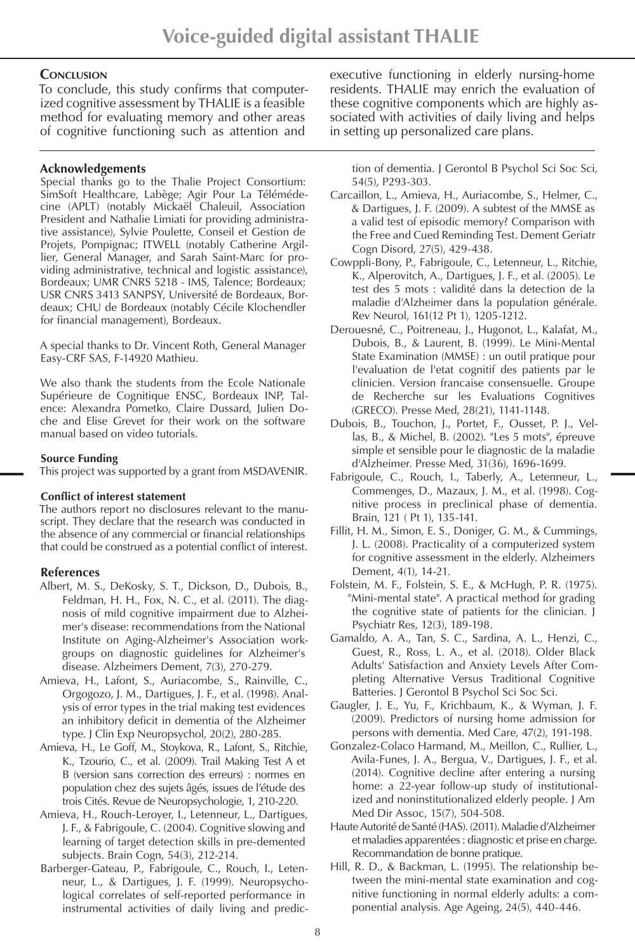## **Conclusion**

To conclude, this study confirms that computerized cognitive assessment by THALIE is a feasible method for evaluating memory and other areas of cognitive functioning such as attention and

## **Acknowledgements**

Special thanks go to the Thalie Project Consortium: SimSoft Healthcare, Labège; Agir Pour La Télémédecine (APLT) (notably Mickaël Chaleuil, Association President and Nathalie Limiati for providing administrative assistance), Sylvie Poulette, Conseil et Gestion de Projets, Pompignac; ITWELL (notably Catherine Argillier, General Manager, and Sarah Saint-Marc for providing administrative, technical and logistic assistance), Bordeaux; UMR CNRS 5218 - IMS, Talence; Bordeaux; USR CNRS 3413 SANPSY, Université de Bordeaux, Bordeaux; CHU de Bordeaux (notably Cécile Klochendler for financial management), Bordeaux.

A special thanks to Dr. Vincent Roth, General Manager Easy-CRF SAS, F-14920 Mathieu.

We also thank the students from the Ecole Nationale Supérieure de Cognitique ENSC, Bordeaux INP, Talence: Alexandra Pometko, Claire Dussard, Julien Doche and Elise Grevet for their work on the software manual based on video tutorials.

#### **Source Funding**

This project was supported by a grant from MSDAVENIR.

#### **Conflict of interest statement**

The authors report no disclosures relevant to the manuscript. They declare that the research was conducted in the absence of any commercial or financial relationships that could be construed as a potential conflict of interest.

## **References**

- Albert, M. S., DeKosky, S. T., Dickson, D., Dubois, B., Feldman, H. H., Fox, N. C., et al. (2011). The diagnosis of mild cognitive impairment due to Alzheimer's disease: recommendations from the National Institute on Aging-Alzheimer's Association workgroups on diagnostic guidelines for Alzheimer's disease. Alzheimers Dement, 7(3), 270-279.
- Amieva, H., Lafont, S., Auriacombe, S., Rainville, C., Orgogozo, J. M., Dartigues, J. F., et al. (1998). Analysis of error types in the trial making test evidences an inhibitory deficit in dementia of the Alzheimer type. J Clin Exp Neuropsychol, 20(2), 280-285.
- Amieva, H., Le Goff, M., Stoykova, R., Lafont, S., Ritchie, K., Tzourio, C., et al. (2009). Trail Making Test A et B (version sans correction des erreurs) : normes en population chez des sujets âgés, issues de l'étude des trois Cités. Revue de Neuropsychologie, 1, 210-220.
- Amieva, H., Rouch-Leroyer, I., Letenneur, L., Dartigues, J. F., & Fabrigoule, C. (2004). Cognitive slowing and learning of target detection skills in pre-demented subjects. Brain Cogn, 54(3), 212-214.
- Barberger-Gateau, P., Fabrigoule, C., Rouch, I., Letenneur, L., & Dartigues, J. F. (1999). Neuropsychological correlates of self-reported performance in instrumental activities of daily living and predic-

executive functioning in elderly nursing-home residents. THALIE may enrich the evaluation of these cognitive components which are highly associated with activities of daily living and helps in setting up personalized care plans.

tion of dementia. J Gerontol B Psychol Sci Soc Sci, 54(5), P293-303.

- Carcaillon, L., Amieva, H., Auriacombe, S., Helmer, C., & Dartigues, J. F. (2009). A subtest of the MMSE as a valid test of episodic memory? Comparison with the Free and Cued Reminding Test. Dement Geriatr Cogn Disord, 27(5), 429-438.
- Cowppli-Bony, P., Fabrigoule, C., Letenneur, L., Ritchie, K., Alperovitch, A., Dartigues, J. F., et al. (2005). Le test des 5 mots : validité dans la detection de la maladie d'Alzheimer dans la population générale. Rev Neurol, 161(12 Pt 1), 1205-1212.
- Derouesné, C., Poitreneau, J., Hugonot, L., Kalafat, M., Dubois, B., & Laurent, B. (1999). Le Mini-Mental State Examination (MMSE) : un outil pratique pour l'evaluation de l'etat cognitif des patients par le clinicien. Version francaise consensuelle. Groupe de Recherche sur les Evaluations Cognitives (GRECO). Presse Med, 28(21), 1141-1148.
- Dubois, B., Touchon, J., Portet, F., Ousset, P. J., Vellas, B., & Michel, B. (2002). "Les 5 mots", épreuve simple et sensible pour le diagnostic de la maladie d'Alzheimer. Presse Med, 31(36), 1696-1699.
- Fabrigoule, C., Rouch, I., Taberly, A., Letenneur, L., Commenges, D., Mazaux, J. M., et al. (1998). Cognitive process in preclinical phase of dementia. Brain, 121 ( Pt 1), 135-141.
- Fillit, H. M., Simon, E. S., Doniger, G. M., & Cummings, J. L. (2008). Practicality of a computerized system for cognitive assessment in the elderly. Alzheimers Dement, 4(1), 14-21.
- Folstein, M. F., Folstein, S. E., & McHugh, P. R. (1975). "Mini-mental state". A practical method for grading the cognitive state of patients for the clinician. J Psychiatr Res, 12(3), 189-198.
- Gamaldo, A. A., Tan, S. C., Sardina, A. L., Henzi, C., Guest, R., Ross, L. A., et al. (2018). Older Black Adults' Satisfaction and Anxiety Levels After Completing Alternative Versus Traditional Cognitive Batteries. J Gerontol B Psychol Sci Soc Sci.
- Gaugler, J. E., Yu, F., Krichbaum, K., & Wyman, J. F. (2009). Predictors of nursing home admission for persons with dementia. Med Care, 47(2), 191-198.
- Gonzalez-Colaco Harmand, M., Meillon, C., Rullier, L., Avila-Funes, J. A., Bergua, V., Dartigues, J. F., et al. (2014). Cognitive decline after entering a nursing home: a 22-year follow-up study of institutionalized and noninstitutionalized elderly people. J Am Med Dir Assoc, 15(7), 504-508.
- Haute Autorité de Santé (HAS). (2011). Maladie d'Alzheimer et maladies apparentées : diagnostic et prise en charge. Recommandation de bonne pratique.
- Hill, R. D., & Backman, L. (1995). The relationship between the mini-mental state examination and cognitive functioning in normal elderly adults: a componential analysis. Age Ageing, 24(5), 440-446.